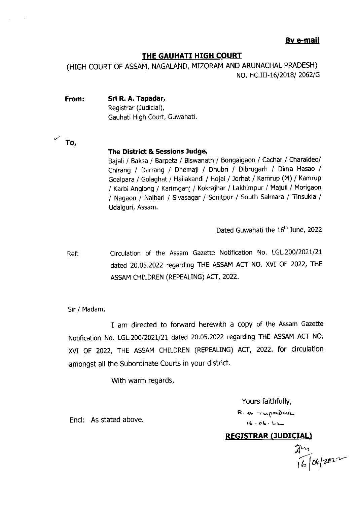### By e-mail

### THE GAUHATI HIGH COURT

(HIGH COURT OF ASSAM, NAGALAND, MIZORAM AND ARUNACHAL PRADESH) NO. HC.III-16/2018/ 2062/G

From: Sri R. A. Tapadar, Registrar (Judicial), Gauhati High Court, Guwahati

### The District & Sessions ludge,

Bajali / Baksa / Barpeta / Biswanath / Bongaigaon / Cachar / Charaideo/ Chirang / Darrang / Dhemaji / Dhubri / Dibrugarh / Dima Hasao / Goalpara / Golaghat / Hailakandi / Hojai / Jorhat / Kamrup (M) / Kamrup / Karbi Anglong / Karimganj / Kokrajhar / Lakhimpur / Majull / Morigaon / Nagaon / Nalbari / Sivasagar / Sonitpur / South Salmara / Tinsukia / Udalguri, Assam.

Dated Guwahati the 16<sup>th</sup> June, 2022

Ref: Circulation of the Assam Gazette Notification No. LGL.200/2021/21 dated 20.05.2022 regarding THE ASSAM ACT NO. XVI OF 2022, THE ASSAM CHILDREN (REPEALING) ACT, 2022.

Sir / Madam,

 $\vee$  To,

I am directed to forward herewith a copy of the Assam Gazette Notification No. LGL.200/2021/21 dated 20.05.2022 regarding THE ASSAM ACT NO. XVI oF 2022, THE ASSAM CHILDREN (REPEAUNG) ACf, 2022. for circulation amongst all the Subordinate Courts in your district.

With warm regards,

Yours faithfully,  $R_1$ .  $R_2$  . Tapad are  $16 - 06 - 12$ 

Encl: As stated above.

REGISTRAR (JUDICIAL)

 $\mathcal{J}^{\mu}$  $i6|06|$   $202$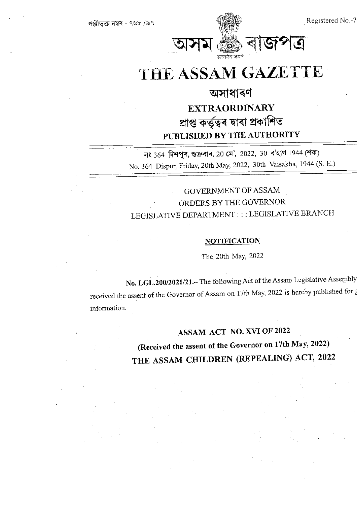

# THE ASSAM GAZETTE

## অসাধাৰণ **EXTRAORDINARY** প্ৰাপ্ত কৰ্তৃত্বৰ দ্বাৰা প্ৰকাশিত PUBLISHED BY THE AUTHORITY

নং 364 দিশপুৰ, শুক্ৰবাৰ, 20 মে', 2022, 30 ব'হাগ 1944 (শক) No. 364 Dispur, Friday, 20th May, 2022, 30th Vaisakha, 1944 (S. E.)

### GOVERNMENT OF ASSAM ORDERS BY THE GOVERNOR LEGISLATIVE DEPARTMENT ::: LEGISLATIVE BRANCH

#### **NOTIFICATION**

The 20th May, 2022

No. LGL.200/2021/21 .- The following Act of the Assam Legislative Assembly received the assent of the Governor of Assam on 17th May, 2022 is hereby published for a information.

### ASSAM ACT NO. XVI OF 2022

(Received the assent of the Governor on 17th May, 2022) THE ASSAM CHILDREN (REPEALING) ACT, 2022